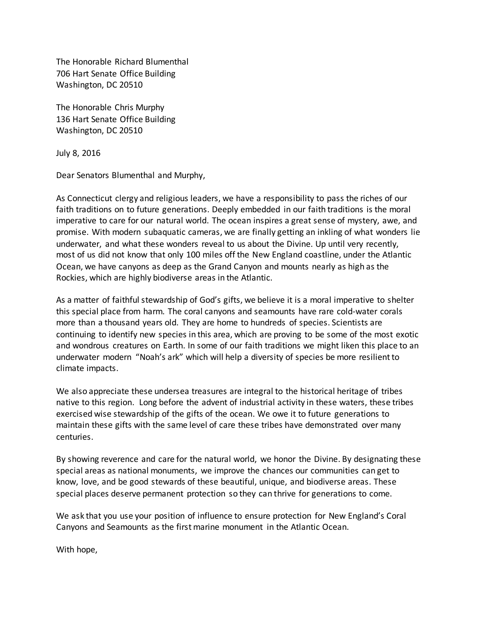The Honorable Richard Blumenthal 706 Hart Senate Office Building Washington, DC 20510

The Honorable Chris Murphy 136 Hart Senate Office Building Washington, DC 20510

July 8, 2016

Dear Senators Blumenthal and Murphy,

As Connecticut clergy and religious leaders, we have a responsibility to pass the riches of our faith traditions on to future generations. Deeply embedded in our faith traditions is the moral imperative to care for our natural world. The ocean inspires a great sense of mystery, awe, and promise. With modern subaquatic cameras, we are finally getting an inkling of what wonders lie underwater, and what these wonders reveal to us about the Divine. Up until very recently, most of us did not know that only 100 miles off the New England coastline, under the Atlantic Ocean, we have canyons as deep as the Grand Canyon and mounts nearly as high as the Rockies, which are highly biodiverse areas in the Atlantic.

As a matter of faithful stewardship of God's gifts, we believe it is a moral imperative to shelter this special place from harm. The coral canyons and seamounts have rare cold-water corals more than a thousand years old. They are home to hundreds of species. Scientists are continuing to identify new species in this area, which are proving to be some of the most exotic and wondrous creatures on Earth. In some of our faith traditions we might liken this place to an underwater modern "Noah's ark" which will help a diversity of species be more resilient to climate impacts.

We also appreciate these undersea treasures are integral to the historical heritage of tribes native to this region. Long before the advent of industrial activity in these waters, these tribes exercised wise stewardship of the gifts of the ocean. We owe it to future generations to maintain these gifts with the same level of care these tribes have demonstrated over many centuries.

By showing reverence and care for the natural world, we honor the Divine. By designating these special areas as national monuments, we improve the chances our communities can get to know, love, and be good stewards of these beautiful, unique, and biodiverse areas. These special places deserve permanent protection so they can thrive for generations to come.

We ask that you use your position of influence to ensure protection for New England's Coral Canyons and Seamounts as the first marine monument in the Atlantic Ocean.

With hope,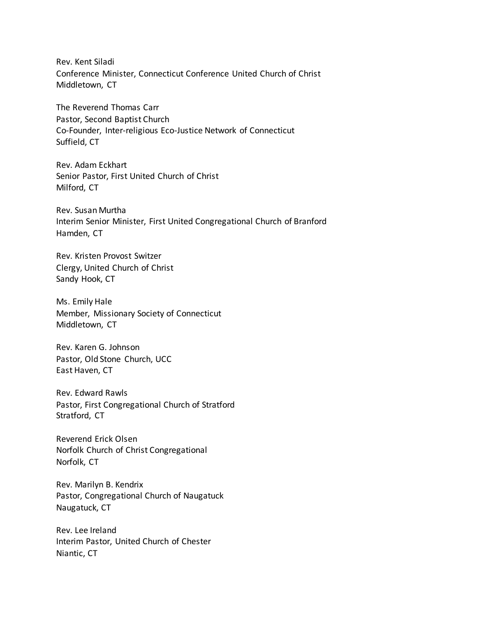Rev. Kent Siladi Conference Minister, Connecticut Conference United Church of Christ Middletown, CT

The Reverend Thomas Carr Pastor, Second Baptist Church Co-Founder, Inter-religious Eco-Justice Network of Connecticut Suffield, CT

Rev. Adam Eckhart Senior Pastor, First United Church of Christ Milford, CT

Rev. Susan Murtha Interim Senior Minister, First United Congregational Church of Branford Hamden, CT

Rev. Kristen Provost Switzer Clergy, United Church of Christ Sandy Hook, CT

Ms. Emily Hale Member, Missionary Society of Connecticut Middletown, CT

Rev. Karen G. Johnson Pastor, Old Stone Church, UCC East Haven, CT

Rev. Edward Rawls Pastor, First Congregational Church of Stratford Stratford, CT

Reverend Erick Olsen Norfolk Church of Christ Congregational Norfolk, CT

Rev. Marilyn B. Kendrix Pastor, Congregational Church of Naugatuck Naugatuck, CT

Rev. Lee Ireland Interim Pastor, United Church of Chester Niantic, CT